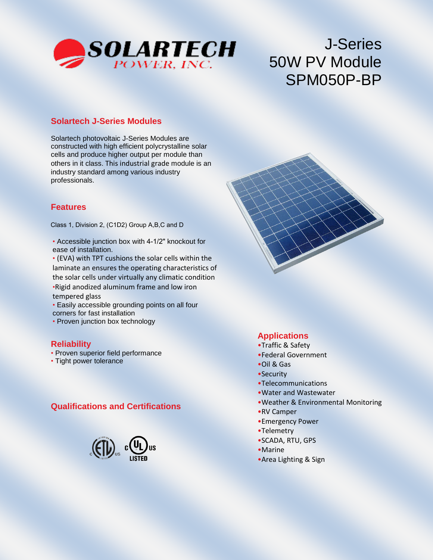

# J-Series 50W PV Module SPM050P-BP

#### **Solartech J-Series Modules**

Solartech photovoltaic J-Series Modules are constructed with high efficient polycrystalline solar cells and produce higher output per module than others in it class. This industrial grade module is an industry standard among various industry professionals.

#### **Features**

Class 1, Division 2, (C1D2) Group A,B,C and D

• Accessible junction box with 4-1/2" knockout for ease of installation.

• (EVA) with TPT cushions the solar cells within the laminate an ensures the operating characteristics of the solar cells under virtually any climatic condition •Rigid anodized aluminum frame and low iron tempered glass

• Easily accessible grounding points on all four corners for fast installation

• Proven junction box technology

#### **Reliability**

- Proven superior field performance
- Tight power tolerance

#### **Qualifications and Certifications**



#### **Applications**

- •Traffic & Safety
- •Federal Government
- •Oil & Gas
- •Security
- •Telecommunications
- •Water and Wastewater
- •Weather & Environmental Monitoring
- •RV Camper
- •Emergency Power
- •Telemetry
- •SCADA, RTU, GPS
- •Marine
- •Area Lighting & Sign